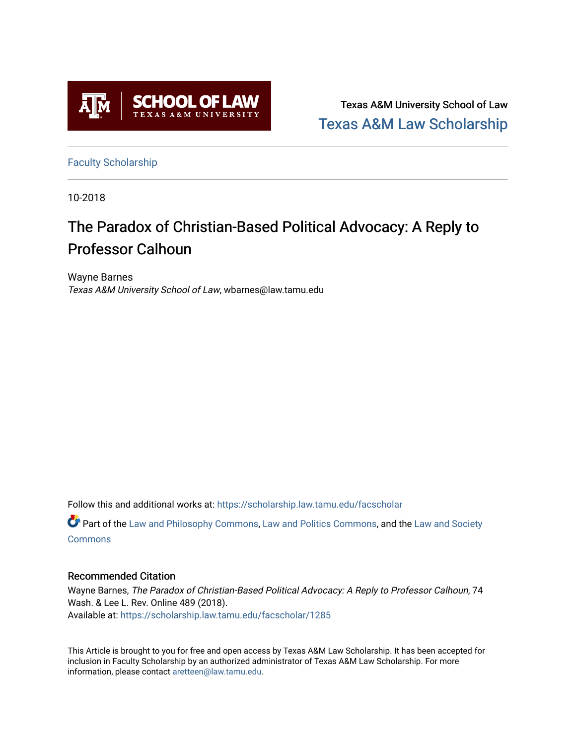

Texas A&M University School of Law [Texas A&M Law Scholarship](https://scholarship.law.tamu.edu/) 

[Faculty Scholarship](https://scholarship.law.tamu.edu/facscholar)

10-2018

# The Paradox of Christian-Based Political Advocacy: A Reply to Professor Calhoun

Wayne Barnes Texas A&M University School of Law, wbarnes@law.tamu.edu

Follow this and additional works at: [https://scholarship.law.tamu.edu/facscholar](https://scholarship.law.tamu.edu/facscholar?utm_source=scholarship.law.tamu.edu%2Ffacscholar%2F1285&utm_medium=PDF&utm_campaign=PDFCoverPages) 

Part of the [Law and Philosophy Commons,](http://network.bepress.com/hgg/discipline/1299?utm_source=scholarship.law.tamu.edu%2Ffacscholar%2F1285&utm_medium=PDF&utm_campaign=PDFCoverPages) [Law and Politics Commons,](http://network.bepress.com/hgg/discipline/867?utm_source=scholarship.law.tamu.edu%2Ffacscholar%2F1285&utm_medium=PDF&utm_campaign=PDFCoverPages) and the [Law and Society](http://network.bepress.com/hgg/discipline/853?utm_source=scholarship.law.tamu.edu%2Ffacscholar%2F1285&utm_medium=PDF&utm_campaign=PDFCoverPages) **[Commons](http://network.bepress.com/hgg/discipline/853?utm_source=scholarship.law.tamu.edu%2Ffacscholar%2F1285&utm_medium=PDF&utm_campaign=PDFCoverPages)** 

## Recommended Citation

Wayne Barnes, The Paradox of Christian-Based Political Advocacy: A Reply to Professor Calhoun, 74 Wash. & Lee L. Rev. Online 489 (2018). Available at: [https://scholarship.law.tamu.edu/facscholar/1285](https://scholarship.law.tamu.edu/facscholar/1285?utm_source=scholarship.law.tamu.edu%2Ffacscholar%2F1285&utm_medium=PDF&utm_campaign=PDFCoverPages) 

This Article is brought to you for free and open access by Texas A&M Law Scholarship. It has been accepted for inclusion in Faculty Scholarship by an authorized administrator of Texas A&M Law Scholarship. For more information, please contact [aretteen@law.tamu.edu](mailto:aretteen@law.tamu.edu).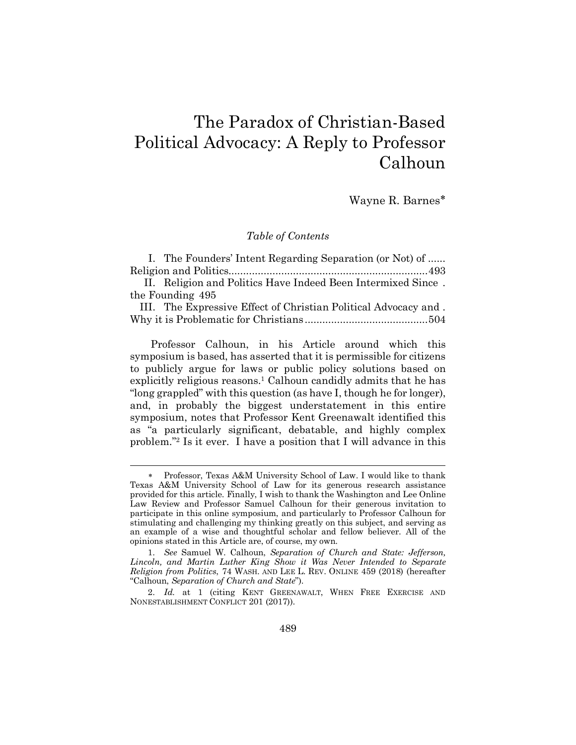## The Paradox of Christian-Based Political Advocacy: A Reply to Professor Calhoun

Wayne R. Barnes\*

#### *Table of Contents*

|                  | I. The Founders' Intent Regarding Separation (or Not) of     |  |
|------------------|--------------------------------------------------------------|--|
|                  |                                                              |  |
|                  | II. Religion and Politics Have Indeed Been Intermixed Since. |  |
| the Founding 495 |                                                              |  |

III. The Expressive Effect of Christian Political Advocacy and . Why it is Problematic for Christians ..........................................504

Professor Calhoun, in his Article around which this symposium is based, has asserted that it is permissible for citizens to publicly argue for laws or public policy solutions based on explicitly religious reasons.<sup>1</sup> Calhoun candidly admits that he has "long grappled" with this question (as have I, though he for longer), and, in probably the biggest understatement in this entire symposium, notes that Professor Kent Greenawalt identified this as "a particularly significant, debatable, and highly complex problem."2 Is it ever. I have a position that I will advance in this

l

Professor, Texas A&M University School of Law. I would like to thank Texas A&M University School of Law for its generous research assistance provided for this article. Finally, I wish to thank the Washington and Lee Online Law Review and Professor Samuel Calhoun for their generous invitation to participate in this online symposium, and particularly to Professor Calhoun for stimulating and challenging my thinking greatly on this subject, and serving as an example of a wise and thoughtful scholar and fellow believer. All of the opinions stated in this Article are, of course, my own.

<sup>1.</sup> *See* Samuel W. Calhoun, *Separation of Church and State: Jefferson, Lincoln, and Martin Luther King Show it Was Never Intended to Separate Religion from Politics*, 74 WASH. AND LEE L. REV. ONLINE 459 (2018) (hereafter "Calhoun, *Separation of Church and State*").

<sup>2.</sup> *Id.* at 1 (citing KENT GREENAWALT, WHEN FREE EXERCISE AND NONESTABLISHMENT CONFLICT 201 (2017)).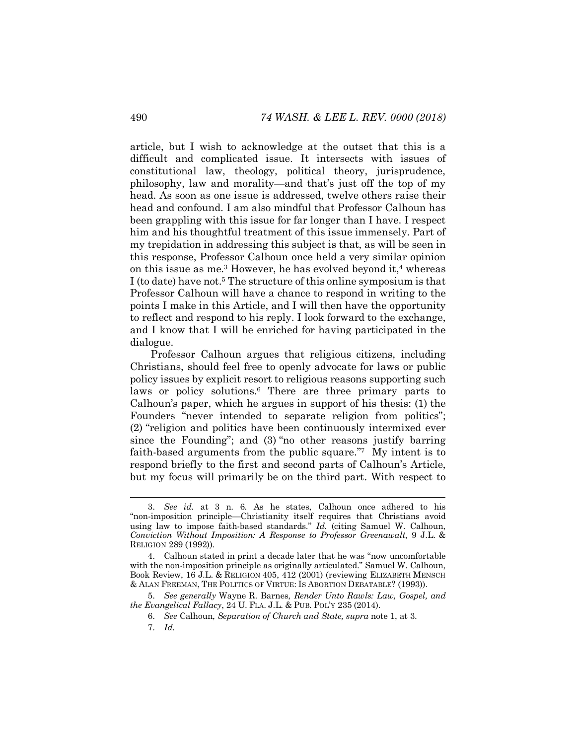article, but I wish to acknowledge at the outset that this is a difficult and complicated issue. It intersects with issues of constitutional law, theology, political theory, jurisprudence, philosophy, law and morality—and that's just off the top of my head. As soon as one issue is addressed, twelve others raise their head and confound. I am also mindful that Professor Calhoun has been grappling with this issue for far longer than I have. I respect him and his thoughtful treatment of this issue immensely. Part of my trepidation in addressing this subject is that, as will be seen in this response, Professor Calhoun once held a very similar opinion on this issue as me.<sup>3</sup> However, he has evolved beyond it,<sup>4</sup> whereas I (to date) have not.5 The structure of this online symposium is that Professor Calhoun will have a chance to respond in writing to the points I make in this Article, and I will then have the opportunity to reflect and respond to his reply. I look forward to the exchange, and I know that I will be enriched for having participated in the dialogue.

Professor Calhoun argues that religious citizens, including Christians, should feel free to openly advocate for laws or public policy issues by explicit resort to religious reasons supporting such laws or policy solutions.<sup>6</sup> There are three primary parts to Calhoun's paper, which he argues in support of his thesis: (1) the Founders "never intended to separate religion from politics"; (2) "religion and politics have been continuously intermixed ever since the Founding"; and (3) "no other reasons justify barring faith-based arguments from the public square."7 My intent is to respond briefly to the first and second parts of Calhoun's Article, but my focus will primarily be on the third part. With respect to

7. *Id.*

 <sup>3.</sup> *See id.* at 3 n. 6. As he states, Calhoun once adhered to his "non-imposition principle—Christianity itself requires that Christians avoid using law to impose faith-based standards." *Id.* (citing Samuel W. Calhoun, *Conviction Without Imposition: A Response to Professor Greenawalt*, 9 J.L. & RELIGION 289 (1992)).

<sup>4.</sup> Calhoun stated in print a decade later that he was "now uncomfortable with the non-imposition principle as originally articulated." Samuel W. Calhoun, Book Review, 16 J.L. & RELIGION 405, 412 (2001) (reviewing ELIZABETH MENSCH & ALAN FREEMAN, THE POLITICS OF VIRTUE: IS ABORTION DEBATABLE? (1993)).

<sup>5.</sup> *See generally* Wayne R. Barnes, *Render Unto Rawls: Law, Gospel, and the Evangelical Fallacy*, 24 U. FLA. J.L. & PUB. POL'Y 235 (2014).

<sup>6.</sup> *See* Calhoun, *Separation of Church and State, supra* note 1, at 3.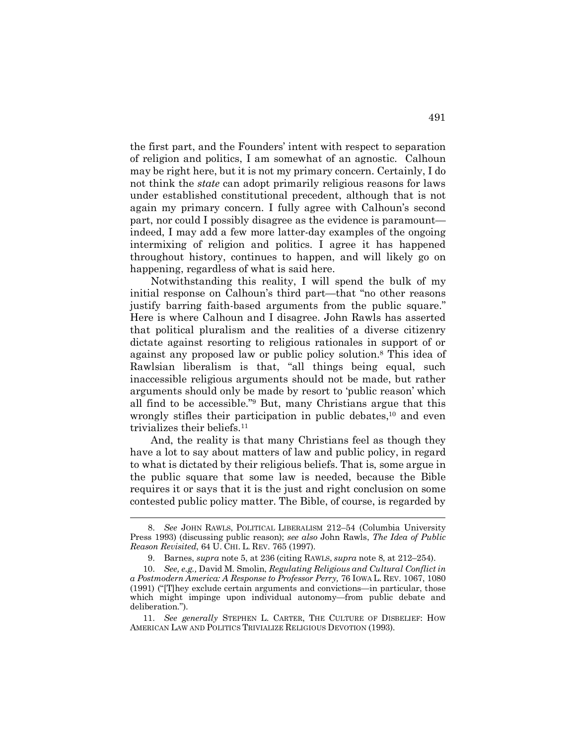the first part, and the Founders' intent with respect to separation of religion and politics, I am somewhat of an agnostic. Calhoun may be right here, but it is not my primary concern. Certainly, I do not think the *state* can adopt primarily religious reasons for laws under established constitutional precedent, although that is not again my primary concern. I fully agree with Calhoun's second part, nor could I possibly disagree as the evidence is paramount indeed, I may add a few more latter-day examples of the ongoing intermixing of religion and politics. I agree it has happened throughout history, continues to happen, and will likely go on happening, regardless of what is said here.

Notwithstanding this reality, I will spend the bulk of my initial response on Calhoun's third part—that "no other reasons justify barring faith-based arguments from the public square." Here is where Calhoun and I disagree. John Rawls has asserted that political pluralism and the realities of a diverse citizenry dictate against resorting to religious rationales in support of or against any proposed law or public policy solution. <sup>8</sup> This idea of Rawlsian liberalism is that, "all things being equal, such inaccessible religious arguments should not be made, but rather arguments should only be made by resort to 'public reason' which all find to be accessible."9 But, many Christians argue that this wrongly stifles their participation in public debates, $10$  and even trivializes their beliefs.11

And, the reality is that many Christians feel as though they have a lot to say about matters of law and public policy, in regard to what is dictated by their religious beliefs. That is, some argue in the public square that some law is needed, because the Bible requires it or says that it is the just and right conclusion on some contested public policy matter. The Bible, of course, is regarded by

 <sup>8.</sup> *See* JOHN RAWLS, POLITICAL LIBERALISM 212–54 (Columbia University Press 1993) (discussing public reason); *see also* John Rawls, *The Idea of Public Reason Revisited*, 64 U. CHI. L. REV. 765 (1997).

<sup>9.</sup> Barnes, *supra* note 5, at 236 (citing RAWLS, *supra* note 8, at 212–254).

<sup>10.</sup> *See, e.g.,* David M. Smolin, *Regulating Religious and Cultural Conflict in a Postmodern America: A Response to Professor Perry,* 76 IOWA L. REV. 1067, 1080 (1991) ("[T]hey exclude certain arguments and convictions—in particular, those which might impinge upon individual autonomy—from public debate and deliberation.").

<sup>11.</sup> *See generally* STEPHEN L. CARTER, THE CULTURE OF DISBELIEF: HOW AMERICAN LAW AND POLITICS TRIVIALIZE RELIGIOUS DEVOTION (1993).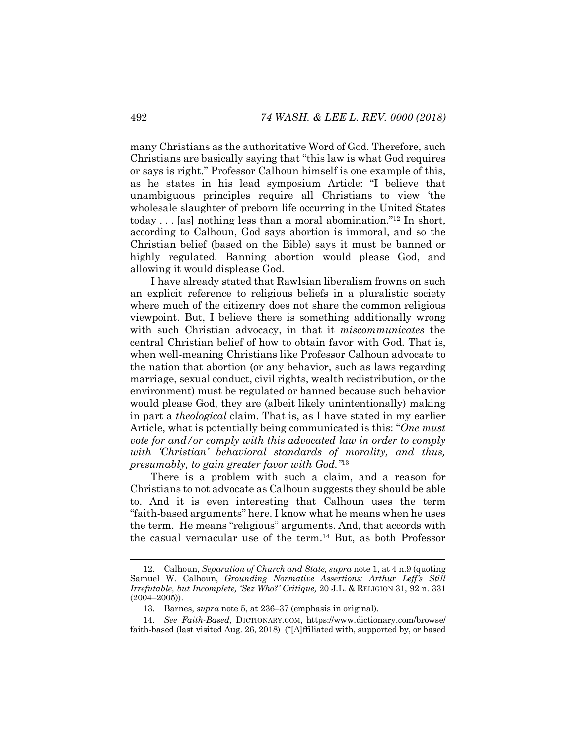many Christians as the authoritative Word of God. Therefore, such Christians are basically saying that "this law is what God requires or says is right." Professor Calhoun himself is one example of this, as he states in his lead symposium Article: "I believe that unambiguous principles require all Christians to view 'the wholesale slaughter of preborn life occurring in the United States today  $\ldots$  [as] nothing less than a moral abomination."<sup>12</sup> In short, according to Calhoun, God says abortion is immoral, and so the Christian belief (based on the Bible) says it must be banned or highly regulated. Banning abortion would please God, and allowing it would displease God.

I have already stated that Rawlsian liberalism frowns on such an explicit reference to religious beliefs in a pluralistic society where much of the citizenry does not share the common religious viewpoint. But, I believe there is something additionally wrong with such Christian advocacy, in that it *miscommunicates* the central Christian belief of how to obtain favor with God. That is, when well-meaning Christians like Professor Calhoun advocate to the nation that abortion (or any behavior, such as laws regarding marriage, sexual conduct, civil rights, wealth redistribution, or the environment) must be regulated or banned because such behavior would please God, they are (albeit likely unintentionally) making in part a *theological* claim. That is, as I have stated in my earlier Article, what is potentially being communicated is this: "*One must vote for and/or comply with this advocated law in order to comply with 'Christian' behavioral standards of morality, and thus, presumably, to gain greater favor with God."*13

There is a problem with such a claim, and a reason for Christians to not advocate as Calhoun suggests they should be able to. And it is even interesting that Calhoun uses the term "faith-based arguments" here. I know what he means when he uses the term. He means "religious" arguments. And, that accords with the casual vernacular use of the term.14 But, as both Professor

 <sup>12.</sup> Calhoun, *Separation of Church and State, supra* note 1, at 4 n.9 (quoting Samuel W. Calhoun, *Grounding Normative Assertions: Arthur Leff's Still Irrefutable, but Incomplete, 'Sez Who?' Critique,* 20 J.L. & RELIGION 31, 92 n. 331 (2004–2005)).

<sup>13.</sup> Barnes, *supra* note 5, at 236–37 (emphasis in original).

<sup>14.</sup> *See Faith-Based,* DICTIONARY.COM, https://www.dictionary.com/browse/ faith-based (last visited Aug. 26, 2018) ("[A]ffiliated with, supported by, or based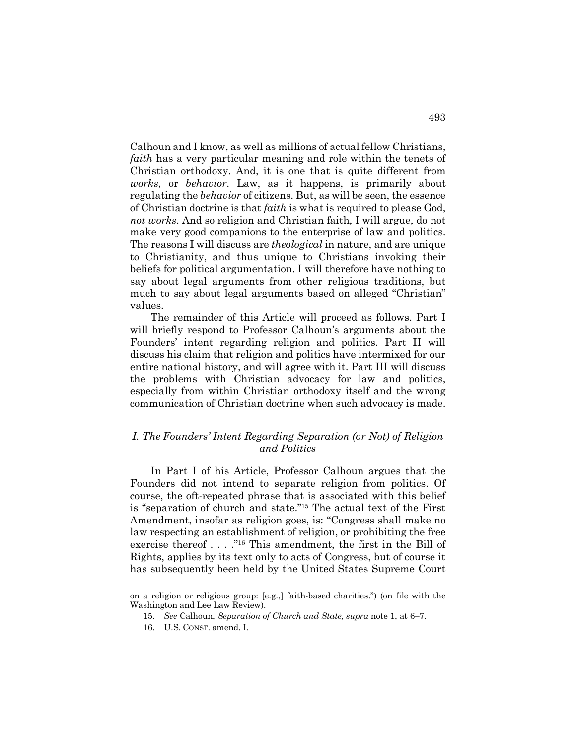Calhoun and I know, as well as millions of actual fellow Christians, *faith* has a very particular meaning and role within the tenets of Christian orthodoxy. And, it is one that is quite different from *works*, or *behavior*. Law, as it happens, is primarily about regulating the *behavior* of citizens. But, as will be seen, the essence of Christian doctrine is that *faith* is what is required to please God, *not works*. And so religion and Christian faith, I will argue, do not make very good companions to the enterprise of law and politics. The reasons I will discuss are *theological* in nature, and are unique to Christianity, and thus unique to Christians invoking their beliefs for political argumentation. I will therefore have nothing to say about legal arguments from other religious traditions, but much to say about legal arguments based on alleged "Christian" values.

The remainder of this Article will proceed as follows. Part I will briefly respond to Professor Calhoun's arguments about the Founders' intent regarding religion and politics. Part II will discuss his claim that religion and politics have intermixed for our entire national history, and will agree with it. Part III will discuss the problems with Christian advocacy for law and politics, especially from within Christian orthodoxy itself and the wrong communication of Christian doctrine when such advocacy is made.

#### *I. The Founders' Intent Regarding Separation (or Not) of Religion and Politics*

In Part I of his Article, Professor Calhoun argues that the Founders did not intend to separate religion from politics. Of course, the oft-repeated phrase that is associated with this belief is "separation of church and state."15 The actual text of the First Amendment, insofar as religion goes, is: "Congress shall make no law respecting an establishment of religion, or prohibiting the free exercise thereof . . . ."16 This amendment, the first in the Bill of Rights, applies by its text only to acts of Congress, but of course it has subsequently been held by the United States Supreme Court

on a religion or religious group: [e.g.,] faith-based charities.") (on file with the Washington and Lee Law Review).

<sup>15.</sup> *See* Calhoun, *Separation of Church and State, supra* note 1, at 6–7.

<sup>16.</sup> U.S. CONST. amend. I.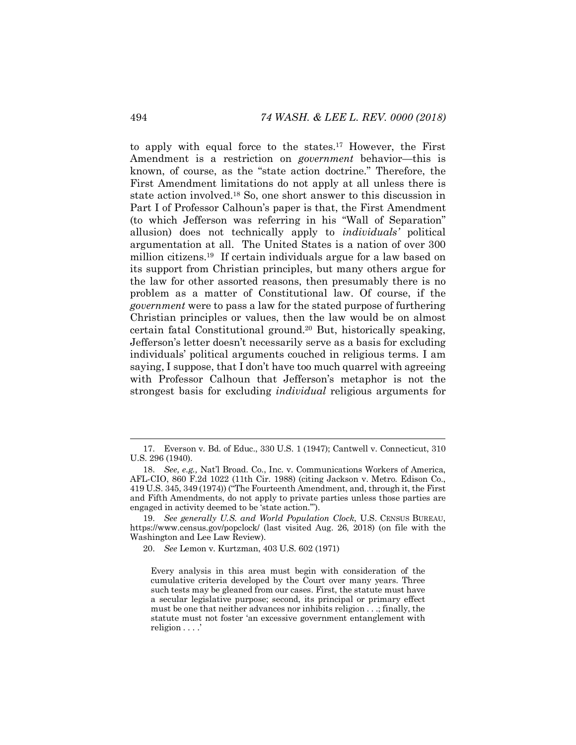to apply with equal force to the states.17 However, the First Amendment is a restriction on *government* behavior—this is known, of course, as the "state action doctrine." Therefore, the First Amendment limitations do not apply at all unless there is state action involved.18 So, one short answer to this discussion in Part I of Professor Calhoun's paper is that, the First Amendment (to which Jefferson was referring in his "Wall of Separation" allusion) does not technically apply to *individuals'* political argumentation at all. The United States is a nation of over 300 million citizens.19 If certain individuals argue for a law based on its support from Christian principles, but many others argue for the law for other assorted reasons, then presumably there is no problem as a matter of Constitutional law. Of course, if the *government* were to pass a law for the stated purpose of furthering Christian principles or values, then the law would be on almost certain fatal Constitutional ground.20 But, historically speaking, Jefferson's letter doesn't necessarily serve as a basis for excluding individuals' political arguments couched in religious terms. I am saying, I suppose, that I don't have too much quarrel with agreeing with Professor Calhoun that Jefferson's metaphor is not the strongest basis for excluding *individual* religious arguments for

 <sup>17.</sup> Everson v. Bd. of Educ., 330 U.S. 1 (1947); Cantwell v. Connecticut, 310 U.S. 296 (1940).

<sup>18.</sup> *See, e.g.,* Nat'l Broad. Co., Inc. v. Communications Workers of America, AFL-CIO, 860 F.2d 1022 (11th Cir. 1988) (citing Jackson v. Metro. Edison Co., 419 U.S. 345, 349 (1974)) ("The Fourteenth Amendment, and, through it, the First and Fifth Amendments, do not apply to private parties unless those parties are engaged in activity deemed to be 'state action.'").

<sup>19.</sup> *See generally U.S. and World Population Clock*, U.S. CENSUS BUREAU, https://www.census.gov/popclock/ (last visited Aug. 26, 2018) (on file with the Washington and Lee Law Review).

<sup>20.</sup> *See* Lemon v. Kurtzman, 403 U.S. 602 (1971)

Every analysis in this area must begin with consideration of the cumulative criteria developed by the Court over many years. Three such tests may be gleaned from our cases. First, the statute must have a secular legislative purpose; second, its principal or primary effect must be one that neither advances nor inhibits religion . . .; finally, the statute must not foster 'an excessive government entanglement with religion . . . .'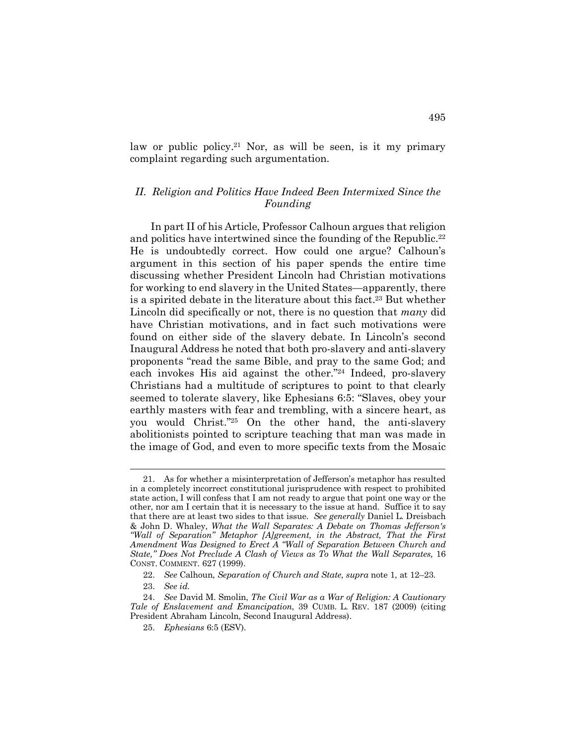law or public policy.<sup>21</sup> Nor, as will be seen, is it my primary complaint regarding such argumentation.

## *II. Religion and Politics Have Indeed Been Intermixed Since the Founding*

In part II of his Article, Professor Calhoun argues that religion and politics have intertwined since the founding of the Republic.<sup>22</sup> He is undoubtedly correct. How could one argue? Calhoun's argument in this section of his paper spends the entire time discussing whether President Lincoln had Christian motivations for working to end slavery in the United States—apparently, there is a spirited debate in the literature about this fact.<sup>23</sup> But whether Lincoln did specifically or not, there is no question that *many* did have Christian motivations, and in fact such motivations were found on either side of the slavery debate. In Lincoln's second Inaugural Address he noted that both pro-slavery and anti-slavery proponents "read the same Bible, and pray to the same God; and each invokes His aid against the other."24 Indeed, pro-slavery Christians had a multitude of scriptures to point to that clearly seemed to tolerate slavery, like Ephesians 6:5: "Slaves, obey your earthly masters with fear and trembling, with a sincere heart, as you would Christ."25 On the other hand, the anti-slavery abolitionists pointed to scripture teaching that man was made in the image of God, and even to more specific texts from the Mosaic

 <sup>21.</sup> As for whether a misinterpretation of Jefferson's metaphor has resulted in a completely incorrect constitutional jurisprudence with respect to prohibited state action, I will confess that I am not ready to argue that point one way or the other, nor am I certain that it is necessary to the issue at hand. Suffice it to say that there are at least two sides to that issue. *See generally* Daniel L. Dreisbach & John D. Whaley, *What the Wall Separates: A Debate on Thomas Jefferson's "Wall of Separation" Metaphor [A]greement, in the Abstract, That the First Amendment Was Designed to Erect A "Wall of Separation Between Church and State," Does Not Preclude A Clash of Views as To What the Wall Separates,* 16 CONST. COMMENT. 627 (1999).

<sup>22.</sup> *See* Calhoun, *Separation of Church and State, supra* note 1, at 12–23.

<sup>23.</sup> *See id.*

<sup>24.</sup> *See* David M. Smolin, *The Civil War as a War of Religion: A Cautionary Tale of Enslavement and Emancipation*, 39 CUMB. L. REV. 187 (2009) (citing President Abraham Lincoln, Second Inaugural Address).

<sup>25.</sup> *Ephesians* 6:5 (ESV).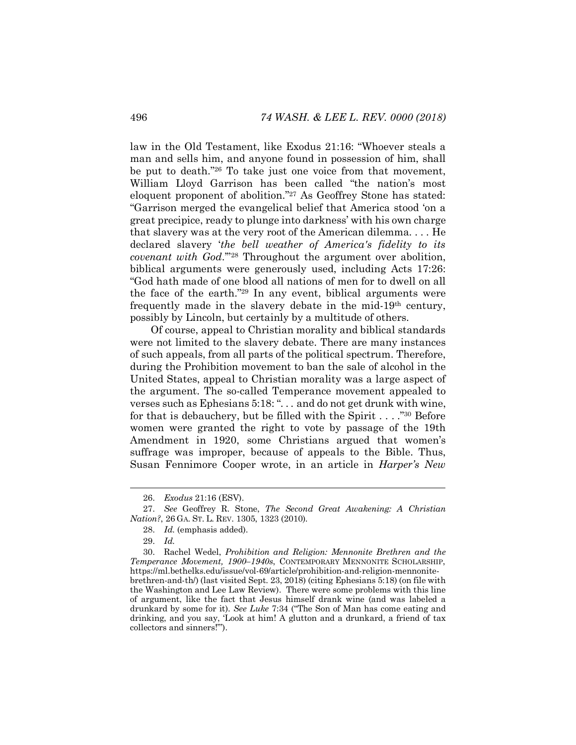law in the Old Testament, like Exodus 21:16: "Whoever steals a man and sells him, and anyone found in possession of him, shall be put to death."26 To take just one voice from that movement, William Lloyd Garrison has been called "the nation's most eloquent proponent of abolition."27 As Geoffrey Stone has stated: "Garrison merged the evangelical belief that America stood 'on a great precipice, ready to plunge into darkness' with his own charge that slavery was at the very root of the American dilemma. . . . He declared slavery '*the bell weather of America's fidelity to its covenant with God*.'"28 Throughout the argument over abolition, biblical arguments were generously used, including Acts 17:26: "God hath made of one blood all nations of men for to dwell on all the face of the earth."29 In any event, biblical arguments were frequently made in the slavery debate in the mid-19th century, possibly by Lincoln, but certainly by a multitude of others.

Of course, appeal to Christian morality and biblical standards were not limited to the slavery debate. There are many instances of such appeals, from all parts of the political spectrum. Therefore, during the Prohibition movement to ban the sale of alcohol in the United States, appeal to Christian morality was a large aspect of the argument. The so-called Temperance movement appealed to verses such as Ephesians 5:18: "... and do not get drunk with wine, for that is debauchery, but be filled with the Spirit  $\dots$  ."<sup>30</sup> Before women were granted the right to vote by passage of the 19th Amendment in 1920, some Christians argued that women's suffrage was improper, because of appeals to the Bible. Thus, Susan Fennimore Cooper wrote, in an article in *Harper's New* 

 <sup>26.</sup> *Exodus* 21:16 (ESV).

<sup>27.</sup> *See* Geoffrey R. Stone, *The Second Great Awakening: A Christian Nation?*, 26 GA. ST. L. REV. 1305, 1323 (2010).

<sup>28.</sup> *Id.* (emphasis added).

<sup>29.</sup> *Id.*

<sup>30.</sup> Rachel Wedel, *Prohibition and Religion: Mennonite Brethren and the Temperance Movement, 1900–1940s*, CONTEMPORARY MENNONITE SCHOLARSHIP, https://ml.bethelks.edu/issue/vol-69/article/prohibition-and-religion-mennonitebrethren-and-th/) (last visited Sept. 23, 2018) (citing Ephesians 5:18) (on file with the Washington and Lee Law Review). There were some problems with this line of argument, like the fact that Jesus himself drank wine (and was labeled a drunkard by some for it). *See Luke* 7:34 ("The Son of Man has come eating and drinking, and you say, 'Look at him! A glutton and a drunkard, a friend of tax collectors and sinners!'").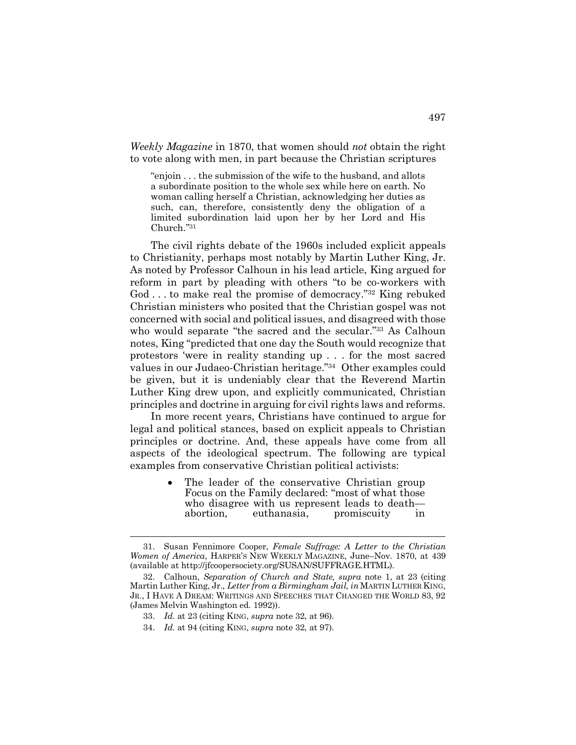*Weekly Magazine* in 1870, that women should *not* obtain the right to vote along with men, in part because the Christian scriptures

"enjoin . . . the submission of the wife to the husband, and allots a subordinate position to the whole sex while here on earth. No woman calling herself a Christian, acknowledging her duties as such, can, therefore, consistently deny the obligation of a limited subordination laid upon her by her Lord and His Church."31

The civil rights debate of the 1960s included explicit appeals to Christianity, perhaps most notably by Martin Luther King, Jr. As noted by Professor Calhoun in his lead article, King argued for reform in part by pleading with others "to be co-workers with God ... to make real the promise of democracy."<sup>32</sup> King rebuked Christian ministers who posited that the Christian gospel was not concerned with social and political issues, and disagreed with those who would separate "the sacred and the secular."33 As Calhoun notes, King "predicted that one day the South would recognize that protestors 'were in reality standing up . . . for the most sacred values in our Judaeo-Christian heritage."34 Other examples could be given, but it is undeniably clear that the Reverend Martin Luther King drew upon, and explicitly communicated, Christian principles and doctrine in arguing for civil rights laws and reforms.

In more recent years, Christians have continued to argue for legal and political stances, based on explicit appeals to Christian principles or doctrine. And, these appeals have come from all aspects of the ideological spectrum. The following are typical examples from conservative Christian political activists:

> The leader of the conservative Christian group Focus on the Family declared: "most of what those who disagree with us represent leads to death abortion, euthanasia, promiscuity in

 <sup>31.</sup> Susan Fennimore Cooper, *Female Suffrage: A Letter to the Christian Women of America*, HARPER'S NEW WEEKLY MAGAZINE, June–Nov. 1870, at 439 (available at http://jfcoopersociety.org/SUSAN/SUFFRAGE.HTML).

<sup>32.</sup> Calhoun, *Separation of Church and State, supra* note 1, at 23 (citing Martin Luther King, Jr., *Letter from a Birmingham Jail, in* MARTIN LUTHER KING, JR., I HAVE A DREAM: WRITINGS AND SPEECHES THAT CHANGED THE WORLD 83, 92 (James Melvin Washington ed. 1992)).

<sup>33.</sup> *Id.* at 23 (citing KING, *supra* note 32, at 96).

<sup>34.</sup> *Id.* at 94 (citing KING, *supra* note 32, at 97).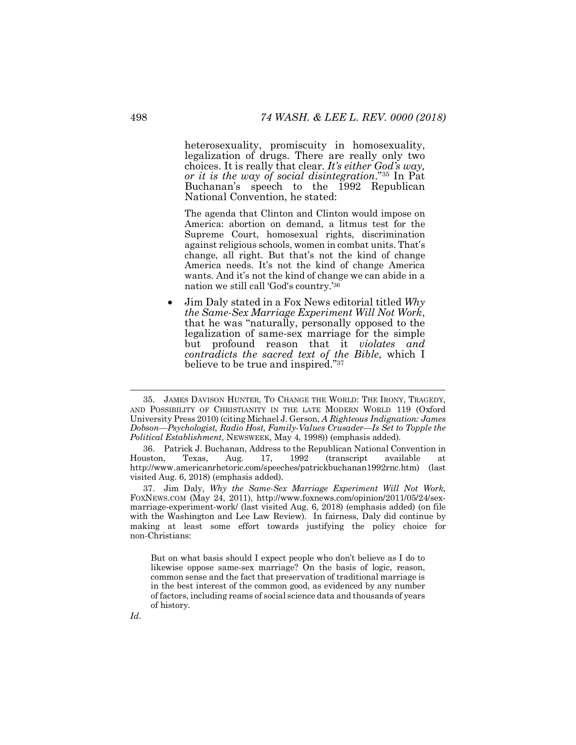heterosexuality, promiscuity in homosexuality, legalization of drugs. There are really only two choices. It is really that clear. *It's either God's way, or it is the way of social disintegration*."35 In Pat Buchanan's speech to the 1992 Republican National Convention, he stated:

The agenda that Clinton and Clinton would impose on America: abortion on demand, a litmus test for the Supreme Court, homosexual rights, discrimination against religious schools, women in combat units. That's change, all right. But that's not the kind of change America needs. It's not the kind of change America wants. And it's not the kind of change we can abide in a nation we still call 'God's country.'36

• Jim Daly stated in a Fox News editorial titled *Why the Same-Sex Marriage Experiment Will Not Work*, that he was "naturally, personally opposed to the legalization of same-sex marriage for the simple but profound reason that it *violates and contradicts the sacred text of the Bible*, which I believe to be true and inspired."37

37. Jim Daly, *Why the Same-Sex Marriage Experiment Will Not Work*, FOXNEWS.COM (May 24, 2011), http://www.foxnews.com/opinion/2011/05/24/sexmarriage-experiment-work/ (last visited Aug. 6, 2018) (emphasis added) (on file with the Washington and Lee Law Review). In fairness, Daly did continue by making at least some effort towards justifying the policy choice for non-Christians:

But on what basis should I expect people who don't believe as I do to likewise oppose same-sex marriage? On the basis of logic, reason, common sense and the fact that preservation of traditional marriage is in the best interest of the common good, as evidenced by any number of factors, including reams of social science data and thousands of years of history.

 <sup>35.</sup> JAMES DAVISON HUNTER, TO CHANGE THE WORLD: THE IRONY, TRAGEDY, AND POSSIBILITY OF CHRISTIANITY IN THE LATE MODERN WORLD 119 (Oxford University Press 2010) (citing Michael J. Gerson, *A Righteous Indignation: James Dobson—Psychologist, Radio Host, Family-Values Crusader—Is Set to Topple the Political Establishment*, NEWSWEEK, May 4, 1998)) (emphasis added).

<sup>36.</sup> Patrick J. Buchanan, Address to the Republican National Convention in Houston, Texas, Aug. 17, 1992 (transcript available at http://www.americanrhetoric.com/speeches/patrickbuchanan1992rnc.htm) (last visited Aug. 6, 2018) (emphasis added).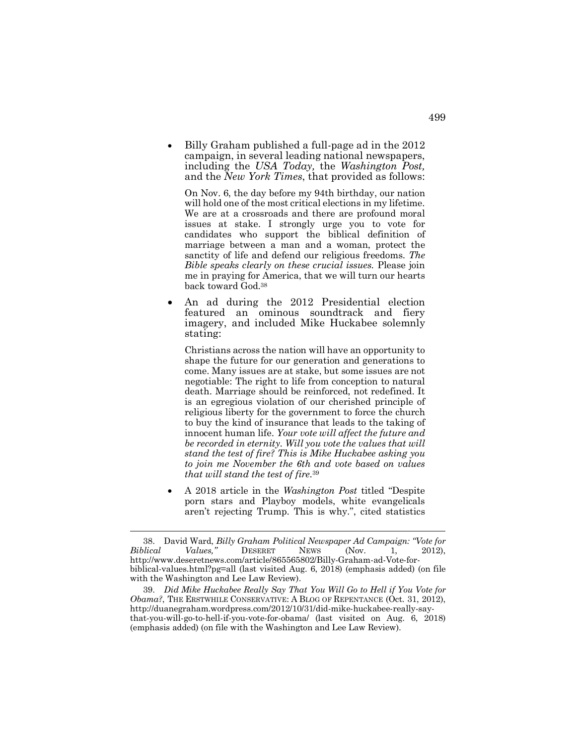• Billy Graham published a full-page ad in the 2012 campaign, in several leading national newspapers, including the *USA Today,* the *Washington Post,*  and the *New York Times*, that provided as follows:

On Nov. 6, the day before my 94th birthday, our nation will hold one of the most critical elections in my lifetime. We are at a crossroads and there are profound moral issues at stake. I strongly urge you to vote for candidates who support the biblical definition of marriage between a man and a woman, protect the sanctity of life and defend our religious freedoms. *The Bible speaks clearly on these crucial issues.* Please join me in praying for America, that we will turn our hearts back toward God.38

• An ad during the 2012 Presidential election featured an ominous soundtrack and fiery imagery, and included Mike Huckabee solemnly stating:

Christians across the nation will have an opportunity to shape the future for our generation and generations to come. Many issues are at stake, but some issues are not negotiable: The right to life from conception to natural death. Marriage should be reinforced, not redefined. It is an egregious violation of our cherished principle of religious liberty for the government to force the church to buy the kind of insurance that leads to the taking of innocent human life. *Your vote will affect the future and be recorded in eternity. Will you vote the values that will stand the test of fire? This is Mike Huckabee asking you to join me November the 6th and vote based on values that will stand the test of fire.*<sup>39</sup>

• A 2018 article in the *Washington Post* titled "Despite porn stars and Playboy models, white evangelicals aren't rejecting Trump. This is why.", cited statistics

 <sup>38.</sup> David Ward, *Billy Graham Political Newspaper Ad Campaign: "Vote for Biblical Values,"* DESERET NEWS (Nov. 1, 2012), http://www.deseretnews.com/article/865565802/Billy-Graham-ad-Vote-forbiblical-values.html?pg=all (last visited Aug. 6, 2018) (emphasis added) (on file with the Washington and Lee Law Review).

<sup>39.</sup> *Did Mike Huckabee Really Say That You Will Go to Hell if You Vote for Obama?*, THE ERSTWHILE CONSERVATIVE: A BLOG OF REPENTANCE (Oct. 31, 2012), http://duanegraham.wordpress.com/2012/10/31/did-mike-huckabee-really-saythat-you-will-go-to-hell-if-you-vote-for-obama/ (last visited on Aug. 6, 2018) (emphasis added) (on file with the Washington and Lee Law Review).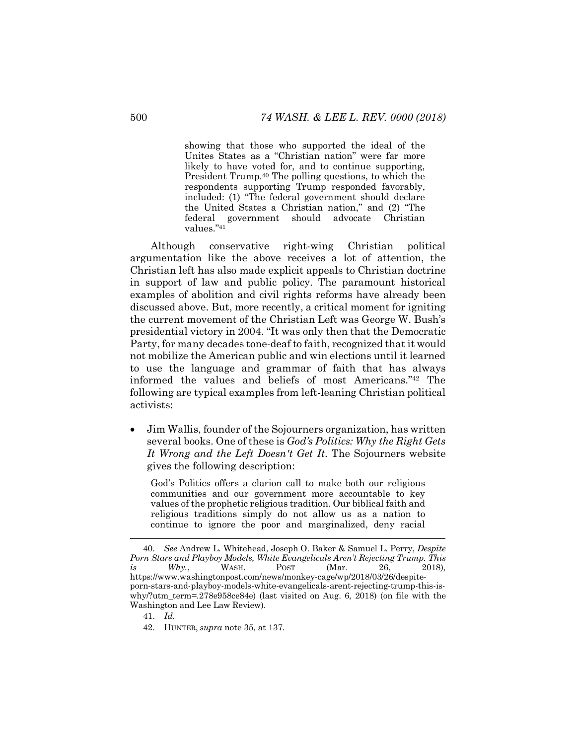showing that those who supported the ideal of the Unites States as a "Christian nation" were far more likely to have voted for, and to continue supporting, President Trump.40 The polling questions, to which the respondents supporting Trump responded favorably, included: (1) "The federal government should declare the United States a Christian nation," and (2) "The federal government should advocate Christian values."41

Although conservative right-wing Christian political argumentation like the above receives a lot of attention, the Christian left has also made explicit appeals to Christian doctrine in support of law and public policy. The paramount historical examples of abolition and civil rights reforms have already been discussed above. But, more recently, a critical moment for igniting the current movement of the Christian Left was George W. Bush's presidential victory in 2004. "It was only then that the Democratic Party, for many decades tone-deaf to faith, recognized that it would not mobilize the American public and win elections until it learned to use the language and grammar of faith that has always informed the values and beliefs of most Americans."42 The following are typical examples from left-leaning Christian political activists:

• Jim Wallis, founder of the Sojourners organization, has written several books. One of these is *God's Politics: Why the Right Gets It Wrong and the Left Doesn't Get It*. The Sojourners website gives the following description:

God's Politics offers a clarion call to make both our religious communities and our government more accountable to key values of the prophetic religious tradition. Our biblical faith and religious traditions simply do not allow us as a nation to continue to ignore the poor and marginalized, deny racial

 <sup>40.</sup> *See* Andrew L. Whitehead, Joseph O. Baker & Samuel L. Perry, *Despite Porn Stars and Playboy Models, White Evangelicals Aren't Rejecting Trump. This is Why.*, WASH. POST (Mar. 26, 2018), https://www.washingtonpost.com/news/monkey-cage/wp/2018/03/26/despiteporn-stars-and-playboy-models-white-evangelicals-arent-rejecting-trump-this-iswhy/?utm\_term=.278e958ce84e) (last visited on Aug. 6, 2018) (on file with the Washington and Lee Law Review).

<sup>41.</sup> *Id.*

<sup>42.</sup> HUNTER, *supra* note 35, at 137.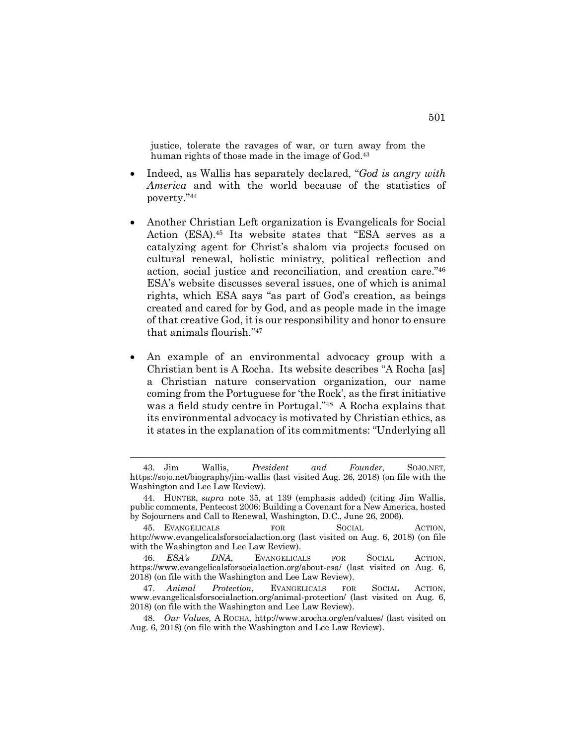justice, tolerate the ravages of war, or turn away from the human rights of those made in the image of God.<sup>43</sup>

- Indeed, as Wallis has separately declared, "*God is angry with America* and with the world because of the statistics of poverty."44
- Another Christian Left organization is Evangelicals for Social Action (ESA).45 Its website states that "ESA serves as a catalyzing agent for Christ's shalom via projects focused on cultural renewal, holistic ministry, political reflection and action, social justice and reconciliation, and creation care."46 ESA's website discusses several issues, one of which is animal rights, which ESA says "as part of God's creation, as beings created and cared for by God, and as people made in the image of that creative God, it is our responsibility and honor to ensure that animals flourish."47
- An example of an environmental advocacy group with a Christian bent is A Rocha. Its website describes "A Rocha [as] a Christian nature conservation organization, our name coming from the Portuguese for 'the Rock', as the first initiative was a field study centre in Portugal."48 A Rocha explains that its environmental advocacy is motivated by Christian ethics, as it states in the explanation of its commitments: "Underlying all

 <sup>43.</sup> Jim Wallis, *President and Founder*, SOJO.NET, https://sojo.net/biography/jim-wallis (last visited Aug. 26, 2018) (on file with the Washington and Lee Law Review).

<sup>44.</sup> HUNTER, *supra* note 35, at 139 (emphasis added) (citing Jim Wallis, public comments, Pentecost 2006: Building a Covenant for a New America, hosted by Sojourners and Call to Renewal, Washington, D.C., June 26, 2006).

<sup>45.</sup> EVANGELICALS FOR SOCIAL ACTION, http://www.evangelicalsforsocialaction.org (last visited on Aug. 6, 2018) (on file with the Washington and Lee Law Review).

<sup>46.</sup> *ESA's DNA*, EVANGELICALS FOR SOCIAL ACTION, https://www.evangelicalsforsocialaction.org/about-esa/ (last visited on Aug. 6, 2018) (on file with the Washington and Lee Law Review).

<sup>47.</sup> *Animal Protection*, EVANGELICALS FOR SOCIAL ACTION, www.evangelicalsforsocialaction.org/animal-protection/ (last visited on Aug. 6, 2018) (on file with the Washington and Lee Law Review).

<sup>48.</sup> *Our Values,* A ROCHA, http://www.arocha.org/en/values/ (last visited on Aug. 6, 2018) (on file with the Washington and Lee Law Review).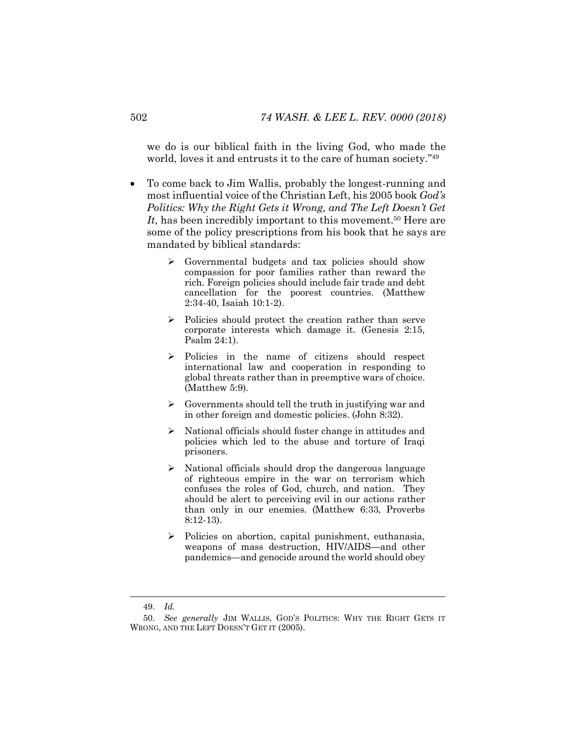we do is our biblical faith in the living God, who made the world, loves it and entrusts it to the care of human society."49

- To come back to Jim Wallis, probably the longest-running and most influential voice of the Christian Left, his 2005 book *God's Politics: Why the Right Gets it Wrong, and The Left Doesn't Get*  It, has been incredibly important to this movement.<sup>50</sup> Here are some of the policy prescriptions from his book that he says are mandated by biblical standards:
	- $\triangleright$  Governmental budgets and tax policies should show compassion for poor families rather than reward the rich. Foreign policies should include fair trade and debt cancellation for the poorest countries. (Matthew 2:34-40, Isaiah 10:1-2).
	- Ø Policies should protect the creation rather than serve corporate interests which damage it. (Genesis 2:15, Psalm 24:1).
	- Ø Policies in the name of citizens should respect international law and cooperation in responding to global threats rather than in preemptive wars of choice. (Matthew 5:9).
	- Governments should tell the truth in justifying war and in other foreign and domestic policies. (John 8:32).
	- $\triangleright$  National officials should foster change in attitudes and policies which led to the abuse and torture of Iraqi prisoners.
	- $\triangleright$  National officials should drop the dangerous language of righteous empire in the war on terrorism which confuses the roles of God, church, and nation. They should be alert to perceiving evil in our actions rather than only in our enemies. (Matthew 6:33, Proverbs 8:12-13).
	- Ø Policies on abortion, capital punishment, euthanasia, weapons of mass destruction, HIV/AIDS—and other pandemics—and genocide around the world should obey

 <sup>49.</sup> *Id.*

<sup>50.</sup> *See generally* JIM WALLIS, GOD'S POLITICS: WHY THE RIGHT GETS IT WRONG, AND THE LEFT DOESN'T GET IT (2005).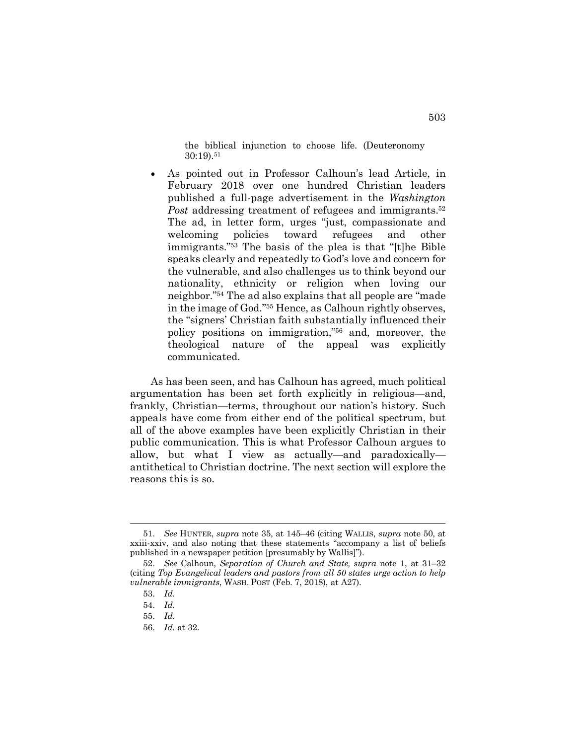the biblical injunction to choose life. (Deuteronomy 30:19).51

• As pointed out in Professor Calhoun's lead Article, in February 2018 over one hundred Christian leaders published a full-page advertisement in the *Washington Post* addressing treatment of refugees and immigrants.<sup>52</sup> The ad, in letter form, urges "just, compassionate and welcoming policies toward refugees and other immigrants."53 The basis of the plea is that "[t]he Bible speaks clearly and repeatedly to God's love and concern for the vulnerable, and also challenges us to think beyond our nationality, ethnicity or religion when loving our neighbor."54 The ad also explains that all people are "made in the image of God."55 Hence, as Calhoun rightly observes, the "signers' Christian faith substantially influenced their policy positions on immigration,"56 and, moreover, the theological nature of the appeal was explicitly communicated.

As has been seen, and has Calhoun has agreed, much political argumentation has been set forth explicitly in religious—and, frankly, Christian—terms, throughout our nation's history. Such appeals have come from either end of the political spectrum, but all of the above examples have been explicitly Christian in their public communication. This is what Professor Calhoun argues to allow, but what I view as actually—and paradoxically antithetical to Christian doctrine. The next section will explore the reasons this is so.

 <sup>51.</sup> *See* HUNTER, *supra* note 35, at 145–46 (citing WALLIS, *supra* note 50, at xxiii-xxiv, and also noting that these statements "accompany a list of beliefs published in a newspaper petition [presumably by Wallis]").

<sup>52.</sup> *See* Calhoun, *Separation of Church and State, supra* note 1, at 31–32 (citing *Top Evangelical leaders and pastors from all 50 states urge action to help vulnerable immigrants*, WASH. POST (Feb. 7, 2018), at A27).

<sup>53.</sup> *Id.*

<sup>54.</sup> *Id.*

<sup>55.</sup> *Id.*

<sup>56.</sup> *Id.* at 32.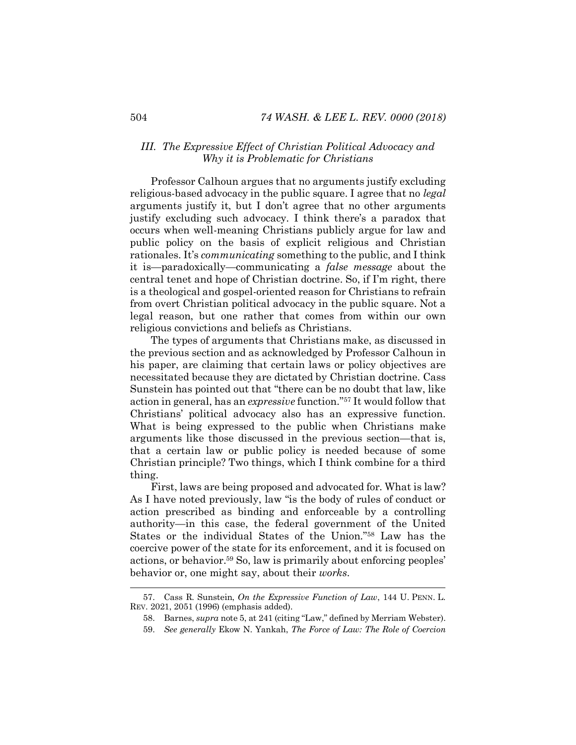#### *III. The Expressive Effect of Christian Political Advocacy and Why it is Problematic for Christians*

Professor Calhoun argues that no arguments justify excluding religious-based advocacy in the public square. I agree that no *legal*  arguments justify it, but I don't agree that no other arguments justify excluding such advocacy. I think there's a paradox that occurs when well-meaning Christians publicly argue for law and public policy on the basis of explicit religious and Christian rationales. It's *communicating* something to the public, and I think it is—paradoxically—communicating a *false message* about the central tenet and hope of Christian doctrine. So, if I'm right, there is a theological and gospel-oriented reason for Christians to refrain from overt Christian political advocacy in the public square. Not a legal reason, but one rather that comes from within our own religious convictions and beliefs as Christians.

The types of arguments that Christians make, as discussed in the previous section and as acknowledged by Professor Calhoun in his paper, are claiming that certain laws or policy objectives are necessitated because they are dictated by Christian doctrine. Cass Sunstein has pointed out that "there can be no doubt that law, like action in general, has an *expressive* function."57 It would follow that Christians' political advocacy also has an expressive function. What is being expressed to the public when Christians make arguments like those discussed in the previous section—that is, that a certain law or public policy is needed because of some Christian principle? Two things, which I think combine for a third thing.

First, laws are being proposed and advocated for. What is law? As I have noted previously, law "is the body of rules of conduct or action prescribed as binding and enforceable by a controlling authority—in this case, the federal government of the United States or the individual States of the Union."58 Law has the coercive power of the state for its enforcement, and it is focused on actions, or behavior.59 So, law is primarily about enforcing peoples' behavior or, one might say, about their *works*.

 <sup>57.</sup> Cass R. Sunstein, *On the Expressive Function of Law*, 144 U. PENN. L. REV. 2021, 2051 (1996) (emphasis added).

<sup>58.</sup> Barnes, *supra* note 5, at 241 (citing "Law," defined by Merriam Webster).

<sup>59.</sup> *See generally* Ekow N. Yankah, *The Force of Law: The Role of Coercion*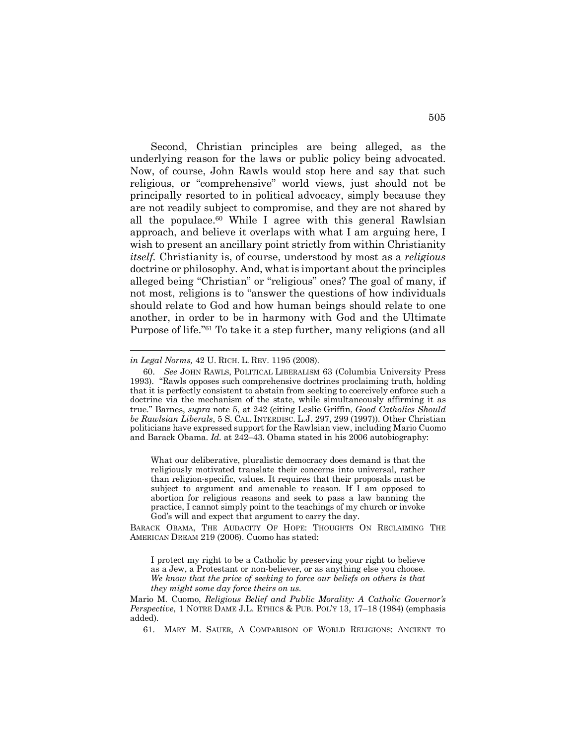Second, Christian principles are being alleged, as the underlying reason for the laws or public policy being advocated. Now, of course, John Rawls would stop here and say that such religious, or "comprehensive" world views, just should not be principally resorted to in political advocacy, simply because they are not readily subject to compromise, and they are not shared by all the populace.<sup>60</sup> While I agree with this general Rawlsian approach, and believe it overlaps with what I am arguing here, I wish to present an ancillary point strictly from within Christianity *itself.* Christianity is, of course, understood by most as a *religious* doctrine or philosophy. And, what is important about the principles alleged being "Christian" or "religious" ones? The goal of many, if not most, religions is to "answer the questions of how individuals should relate to God and how human beings should relate to one another, in order to be in harmony with God and the Ultimate Purpose of life."61 To take it a step further, many religions (and all

l

What our deliberative, pluralistic democracy does demand is that the religiously motivated translate their concerns into universal, rather than religion-specific, values. It requires that their proposals must be subject to argument and amenable to reason. If I am opposed to abortion for religious reasons and seek to pass a law banning the practice, I cannot simply point to the teachings of my church or invoke God's will and expect that argument to carry the day.

BARACK OBAMA, THE AUDACITY OF HOPE: THOUGHTS ON RECLAIMING THE AMERICAN DREAM 219 (2006). Cuomo has stated:

I protect my right to be a Catholic by preserving your right to believe as a Jew, a Protestant or non-believer, or as anything else you choose. *We know that the price of seeking to force our beliefs on others is that they might some day force theirs on us*.

*in Legal Norms,* 42 U. RICH. L. REV. 1195 (2008).

<sup>60.</sup> *See* JOHN RAWLS, POLITICAL LIBERALISM 63 (Columbia University Press 1993). "Rawls opposes such comprehensive doctrines proclaiming truth, holding that it is perfectly consistent to abstain from seeking to coercively enforce such a doctrine via the mechanism of the state, while simultaneously affirming it as true." Barnes, *supra* note 5, at 242 (citing Leslie Griffin, *Good Catholics Should be Rawlsian Liberals*, 5 S. CAL. INTERDISC. L.J. 297, 299 (1997)). Other Christian politicians have expressed support for the Rawlsian view, including Mario Cuomo and Barack Obama. *Id.* at 242–43. Obama stated in his 2006 autobiography:

Mario M. Cuomo, *Religious Belief and Public Morality: A Catholic Governor's Perspective*, 1 NOTRE DAME J.L. ETHICS & PUB. POL'Y 13, 17–18 (1984) (emphasis added).

<sup>61.</sup> MARY M. SAUER, A COMPARISON OF WORLD RELIGIONS: ANCIENT TO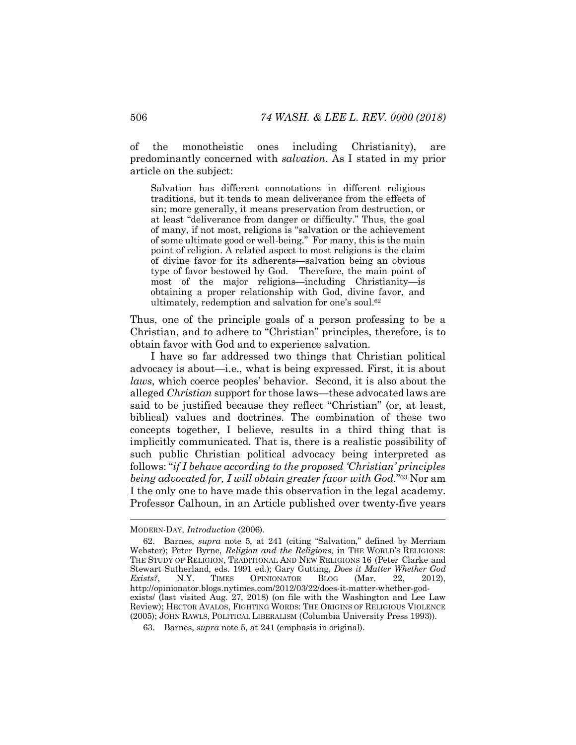of the monotheistic ones including Christianity), are predominantly concerned with *salvation*. As I stated in my prior article on the subject:

Salvation has different connotations in different religious traditions, but it tends to mean deliverance from the effects of sin; more generally, it means preservation from destruction, or at least "deliverance from danger or difficulty." Thus, the goal of many, if not most, religions is "salvation or the achievement of some ultimate good or well-being." For many, this is the main point of religion. A related aspect to most religions is the claim of divine favor for its adherents—salvation being an obvious type of favor bestowed by God. Therefore, the main point of most of the major religions—including Christianity—is obtaining a proper relationship with God, divine favor, and ultimately, redemption and salvation for one's soul.62

Thus, one of the principle goals of a person professing to be a Christian, and to adhere to "Christian" principles, therefore, is to obtain favor with God and to experience salvation.

I have so far addressed two things that Christian political advocacy is about—i.e., what is being expressed. First, it is about *laws*, which coerce peoples' behavior. Second, it is also about the alleged *Christian* support for those laws—these advocated laws are said to be justified because they reflect "Christian" (or, at least, biblical) values and doctrines. The combination of these two concepts together, I believe, results in a third thing that is implicitly communicated. That is, there is a realistic possibility of such public Christian political advocacy being interpreted as follows: "*if I behave according to the proposed 'Christian' principles being advocated for, I will obtain greater favor with God.*"63 Nor am I the only one to have made this observation in the legal academy. Professor Calhoun, in an Article published over twenty-five years

MODERN-DAY, *Introduction* (2006).

<sup>62.</sup> Barnes, *supra* note 5, at 241 (citing "Salvation," defined by Merriam Webster); Peter Byrne, *Religion and the Religions*, in THE WORLD'S RELIGIONS: THE STUDY OF RELIGION, TRADITIONAL AND NEW RELIGIONS 16 (Peter Clarke and Stewart Sutherland, eds. 1991 ed.); Gary Gutting, *Does it Matter Whether God Exists?*, N.Y. TIMES OPINIONATOR BLOG (Mar. 22, 2012), http://opinionator.blogs.nytimes.com/2012/03/22/does-it-matter-whether-godexists/ (last visited Aug. 27, 2018) (on file with the Washington and Lee Law Review); HECTOR AVALOS, FIGHTING WORDS: THE ORIGINS OF RELIGIOUS VIOLENCE (2005); JOHN RAWLS, POLITICAL LIBERALISM (Columbia University Press 1993)).

<sup>63.</sup> Barnes, *supra* note 5, at 241 (emphasis in original).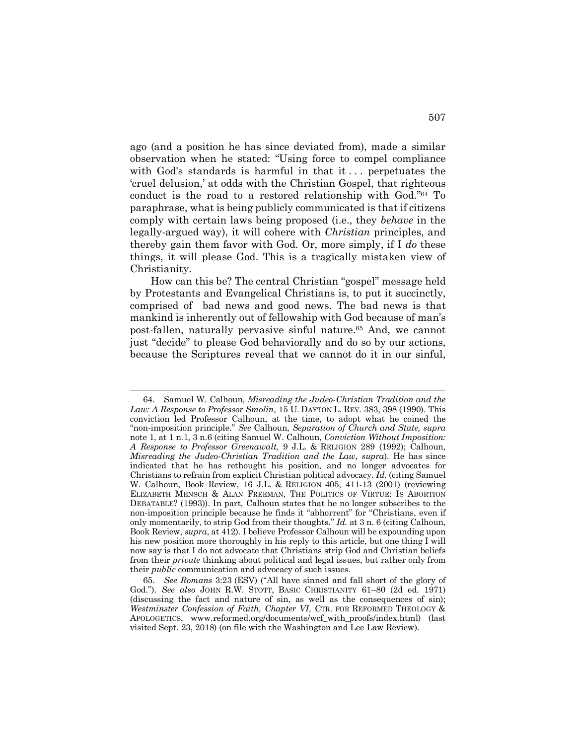ago (and a position he has since deviated from), made a similar observation when he stated: "Using force to compel compliance with God's standards is harmful in that it  $\ldots$  perpetuates the 'cruel delusion,' at odds with the Christian Gospel, that righteous conduct is the road to a restored relationship with God."64 To paraphrase, what is being publicly communicated is that if citizens comply with certain laws being proposed (i.e., they *behave* in the legally-argued way), it will cohere with *Christian* principles, and thereby gain them favor with God. Or, more simply, if I *do* these things, it will please God. This is a tragically mistaken view of Christianity.

How can this be? The central Christian "gospel" message held by Protestants and Evangelical Christians is, to put it succinctly, comprised of bad news and good news. The bad news is that mankind is inherently out of fellowship with God because of man's post-fallen, naturally pervasive sinful nature.65 And, we cannot just "decide" to please God behaviorally and do so by our actions, because the Scriptures reveal that we cannot do it in our sinful,

 <sup>64.</sup> Samuel W. Calhoun, *Misreading the Judeo-Christian Tradition and the Law: A Response to Professor Smolin*, 15 U. DAYTON L. REV. 383, 398 (1990). This conviction led Professor Calhoun, at the time, to adopt what he coined the "non-imposition principle." *See* Calhoun, *Separation of Church and State, supra*  note 1, at 1 n.1, 3 n.6 (citing Samuel W. Calhoun, *Conviction Without Imposition: A Response to Professor Greenawalt,* 9 J.L. & RELIGION 289 (1992); Calhoun, *Misreading the Judeo-Christian Tradition and the Law, supra*). He has since indicated that he has rethought his position, and no longer advocates for Christians to refrain from explicit Christian political advocacy. *Id.* (citing Samuel W. Calhoun, Book Review, 16 J.L. & RELIGION 405, 411-13 (2001) (reviewing ELIZABETH MENSCH & ALAN FREEMAN, THE POLITICS OF VIRTUE: IS ABORTION DEBATABLE? (1993)). In part, Calhoun states that he no longer subscribes to the non-imposition principle because he finds it "abhorrent" for "Christians, even if only momentarily, to strip God from their thoughts." *Id.* at 3 n. 6 (citing Calhoun, Book Review, *supra*, at 412). I believe Professor Calhoun will be expounding upon his new position more thoroughly in his reply to this article, but one thing I will now say is that I do not advocate that Christians strip God and Christian beliefs from their *private* thinking about political and legal issues, but rather only from their *public* communication and advocacy of such issues.

<sup>65.</sup> *See Romans* 3:23 (ESV) ("All have sinned and fall short of the glory of God."). *See also* JOHN R.W. STOTT, BASIC CHRISTIANITY 61–80 (2d ed. 1971) (discussing the fact and nature of sin, as well as the consequences of sin); *Westminster Confession of Faith, Chapter VI,* CTR. FOR REFORMED THEOLOGY & APOLOGETICS, www.reformed.org/documents/wcf\_with\_proofs/index.html) (last visited Sept. 23, 2018) (on file with the Washington and Lee Law Review).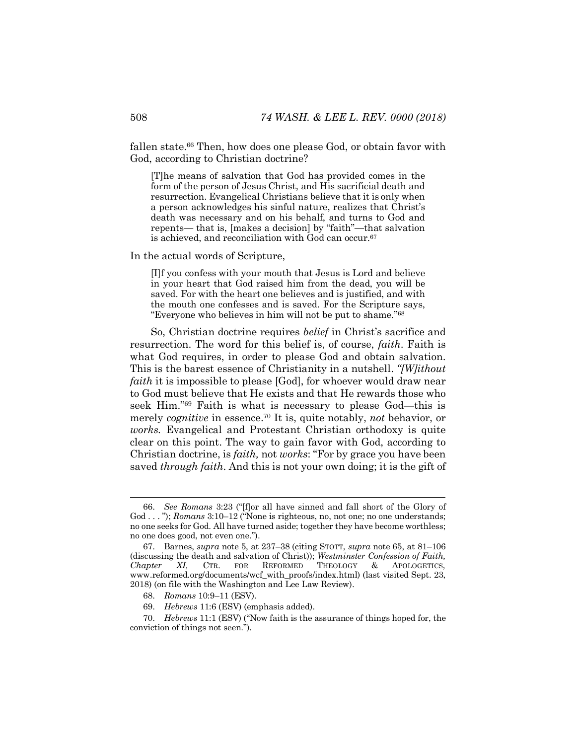fallen state.<sup>66</sup> Then, how does one please God, or obtain favor with God, according to Christian doctrine?

[T]he means of salvation that God has provided comes in the form of the person of Jesus Christ, and His sacrificial death and resurrection. Evangelical Christians believe that it is only when a person acknowledges his sinful nature, realizes that Christ's death was necessary and on his behalf, and turns to God and repents— that is, [makes a decision] by "faith"—that salvation is achieved, and reconciliation with God can occur.67

In the actual words of Scripture,

[I]f you confess with your mouth that Jesus is Lord and believe in your heart that God raised him from the dead, you will be saved. For with the heart one believes and is justified, and with the mouth one confesses and is saved. For the Scripture says, "Everyone who believes in him will not be put to shame."68

So, Christian doctrine requires *belief* in Christ's sacrifice and resurrection. The word for this belief is, of course, *faith*. Faith is what God requires, in order to please God and obtain salvation. This is the barest essence of Christianity in a nutshell. *"[W]ithout faith* it is impossible to please [God], for whoever would draw near to God must believe that He exists and that He rewards those who seek Him."69 Faith is what is necessary to please God—this is merely *cognitive* in essence.70 It is, quite notably, *not* behavior, or *works.* Evangelical and Protestant Christian orthodoxy is quite clear on this point. The way to gain favor with God, according to Christian doctrine, is *faith,* not *works*: "For by grace you have been saved *through faith*. And this is not your own doing; it is the gift of

 <sup>66.</sup> *See Romans* 3:23 ("[f]or all have sinned and fall short of the Glory of God . . . "); *Romans* 3:10–12 ("None is righteous, no, not one; no one understands; no one seeks for God. All have turned aside; together they have become worthless; no one does good, not even one.").

<sup>67.</sup> Barnes, *supra* note 5, at 237–38 (citing STOTT, *supra* note 65, at 81–106 (discussing the death and salvation of Christ)); *Westminster Confession of Faith, Chapter XI,* CTR. FOR REFORMED THEOLOGY & APOLOGETICS, www.reformed.org/documents/wcf\_with\_proofs/index.html) (last visited Sept. 23, 2018) (on file with the Washington and Lee Law Review).

<sup>68.</sup> *Romans* 10:9–11 (ESV).

<sup>69.</sup> *Hebrews* 11:6 (ESV) (emphasis added).

<sup>70.</sup> *Hebrews* 11:1 (ESV) ("Now faith is the assurance of things hoped for, the conviction of things not seen.").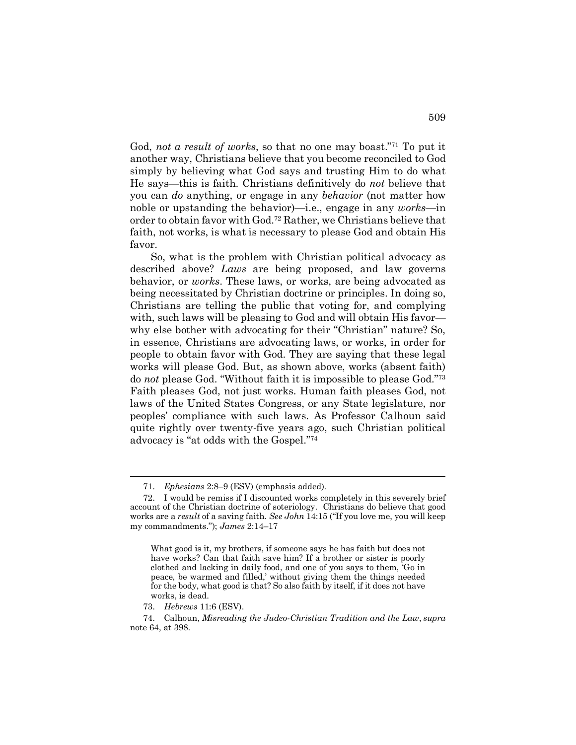God, *not a result of works*, so that no one may boast."71 To put it another way, Christians believe that you become reconciled to God simply by believing what God says and trusting Him to do what He says—this is faith. Christians definitively do *not* believe that you can *do* anything, or engage in any *behavior* (not matter how noble or upstanding the behavior)—i.e., engage in any *works*—in order to obtain favor with God.72 Rather, we Christians believe that faith, not works, is what is necessary to please God and obtain His favor.

So, what is the problem with Christian political advocacy as described above? *Laws* are being proposed, and law governs behavior, or *works*. These laws, or works, are being advocated as being necessitated by Christian doctrine or principles. In doing so, Christians are telling the public that voting for, and complying with, such laws will be pleasing to God and will obtain His favor why else bother with advocating for their "Christian" nature? So, in essence, Christians are advocating laws, or works, in order for people to obtain favor with God. They are saying that these legal works will please God. But, as shown above, works (absent faith) do *not* please God. "Without faith it is impossible to please God."73 Faith pleases God, not just works. Human faith pleases God, not laws of the United States Congress, or any State legislature, nor peoples' compliance with such laws. As Professor Calhoun said quite rightly over twenty-five years ago, such Christian political advocacy is "at odds with the Gospel."74

73. *Hebrews* 11:6 (ESV).

 <sup>71.</sup> *Ephesians* 2:8–9 (ESV) (emphasis added).

<sup>72.</sup> I would be remiss if I discounted works completely in this severely brief account of the Christian doctrine of soteriology. Christians do believe that good works are a *result* of a saving faith. *See John* 14:15 ("If you love me, you will keep my commandments."); *James* 2:14–17

What good is it, my brothers, if someone says he has faith but does not have works? Can that faith save him? If a brother or sister is poorly clothed and lacking in daily food, and one of you says to them, 'Go in peace, be warmed and filled,' without giving them the things needed for the body, what good is that? So also faith by itself, if it does not have works, is dead.

<sup>74.</sup> Calhoun, *Misreading the Judeo-Christian Tradition and the Law*, *supra*  note 64, at 398.